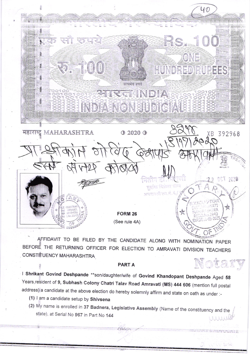

AFFIDAVIT TO BE FILED BY THE CANDIDATE ALONG WITH NOMINATION PAPER BEFORE THE RETURNING OFFICER FOR ELECTION TO AMRAVATI DIVISION TEACHERS CONSTITUENCY MAHARASHTRA Notary

## **PARTA**

I Shrikant Govind Deshpande \*\* son/daughter/wife of Govind Khandopant Deshpande Aged 58 Years, resident of 9, Subhash Colony Chatri Talav Road Amravati (MS) 444 606 (mention full postal address) a candidate at the above election do hereby solemnly affirm and state on oath as under :-

- (1) I am a candidate setup by Shivsena
- (2) My name is enrolled in 37 Badnera, Legislative Assembly (Name of the constituency and the state), at Serial No 967 in Part No 144 WWW